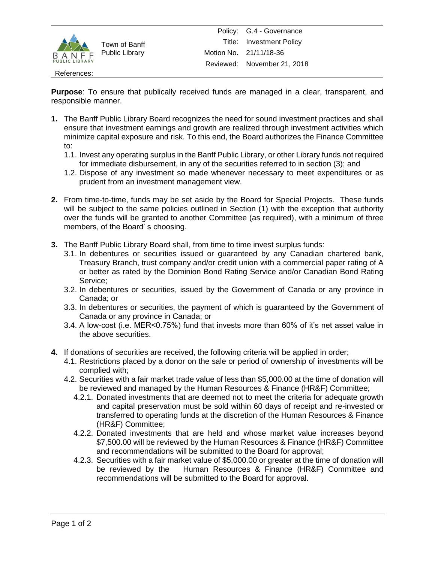

Town of Banff Public Library

## References:

**Purpose**: To ensure that publically received funds are managed in a clear, transparent, and responsible manner.

- **1.** The Banff Public Library Board recognizes the need for sound investment practices and shall ensure that investment earnings and growth are realized through investment activities which minimize capital exposure and risk. To this end, the Board authorizes the Finance Committee to:
	- 1.1. Invest any operating surplus in the Banff Public Library, or other Library funds not required for immediate disbursement, in any of the securities referred to in section (3); and
	- 1.2. Dispose of any investment so made whenever necessary to meet expenditures or as prudent from an investment management view.
- **2.** From time-to-time, funds may be set aside by the Board for Special Projects. These funds will be subject to the same policies outlined in Section (1) with the exception that authority over the funds will be granted to another Committee (as required), with a minimum of three members, of the Board' s choosing.
- **3.** The Banff Public Library Board shall, from time to time invest surplus funds:
	- 3.1. In debentures or securities issued or guaranteed by any Canadian chartered bank, Treasury Branch, trust company and/or credit union with a commercial paper rating of A or better as rated by the Dominion Bond Rating Service and/or Canadian Bond Rating Service;
	- 3.2. In debentures or securities, issued by the Government of Canada or any province in Canada; or
	- 3.3. In debentures or securities, the payment of which is guaranteed by the Government of Canada or any province in Canada; or
	- 3.4. A low-cost (i.e. MER<0.75%) fund that invests more than 60% of it's net asset value in the above securities.
- **4.** If donations of securities are received, the following criteria will be applied in order;
	- 4.1. Restrictions placed by a donor on the sale or period of ownership of investments will be complied with;
	- 4.2. Securities with a fair market trade value of less than \$5,000.00 at the time of donation will be reviewed and managed by the Human Resources & Finance (HR&F) Committee;
		- 4.2.1. Donated investments that are deemed not to meet the criteria for adequate growth and capital preservation must be sold within 60 days of receipt and re-invested or transferred to operating funds at the discretion of the Human Resources & Finance (HR&F) Committee;
		- 4.2.2. Donated investments that are held and whose market value increases beyond \$7,500.00 will be reviewed by the Human Resources & Finance (HR&F) Committee and recommendations will be submitted to the Board for approval;
		- 4.2.3. Securities with a fair market value of \$5,000.00 or greater at the time of donation will be reviewed by the Human Resources & Finance (HR&F) Committee and recommendations will be submitted to the Board for approval.